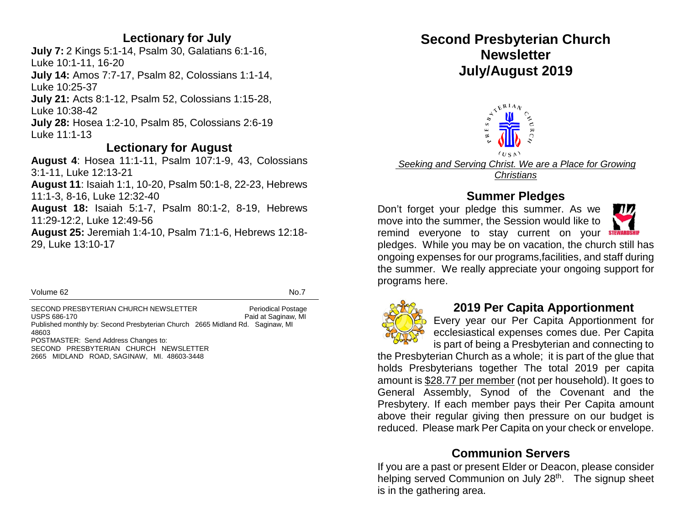#### **Lectionary for July**

**July 7:** 2 Kings 5:1-14, Psalm 30, Galatians 6:1-16, Luke 10:1-11, 16-20 **July 14:** Amos 7:7-17, Psalm 82, Colossians 1:1-14, Luke 10:25-37 **July 21:** Acts 8:1-12, Psalm 52, Colossians 1:15-28, Luke 10:38-42 **July 28:** Hosea 1:2-10, Psalm 85, Colossians 2:6-19 Luke 11:1-13

#### **Lectionary for August**

**August 4**: Hosea 11:1-11, Psalm 107:1-9, 43, Colossians 3:1-11, Luke 12:13-21 **August 11**: Isaiah 1:1, 10-20, Psalm 50:1-8, 22-23, Hebrews 11:1-3, 8-16, Luke 12:32-40 **August 18:** Isaiah 5:1-7, Psalm 80:1-2, 8-19, Hebrews 11:29-12:2, Luke 12:49-56 **August 25:** Jeremiah 1:4-10, Psalm 71:1-6, Hebrews 12:18- 29, Luke 13:10-17

Volume 62 No.7

SECOND PRESBYTERIAN CHURCH NEWSLETTER Periodical Postage USPS 686-170 **Paid at Saginaw, MI** Published monthly by: Second Presbyterian Church 2665 Midland Rd. Saginaw, MI 48603 POSTMASTER: Send Address Changes to: SECOND PRESBYTERIAN CHURCH NEWSLETTER 2665 MIDLAND ROAD, SAGINAW, MI. 48603-3448

# **Second Presbyterian Church Newsletter July/August 2019**



*Seeking and Serving Christ. We are a Place for Growing Christians*

### **Summer Pledges**

Don't forget your pledge this summer. As we move into the summer, the Session would like to remind everyone to stay current on your **STEWARDS** 



pledges. While you may be on vacation, the church still has ongoing expenses for our programs,facilities, and staff during the summer. We really appreciate your ongoing support for programs here.



#### **2019 Per Capita Apportionment**

Every year our Per Capita Apportionment for ecclesiastical expenses comes due. Per Capita is part of being a Presbyterian and connecting to

the Presbyterian Church as a whole; it is part of the glue that holds Presbyterians together The total 2019 per capita amount is \$28.77 per member (not per household). It goes to General Assembly, Synod of the Covenant and the Presbytery. If each member pays their Per Capita amount above their regular giving then pressure on our budget is reduced. Please mark Per Capita on your check or envelope.

# **Communion Servers**

If you are a past or present Elder or Deacon, please consider helping served Communion on July 28<sup>th</sup>. The signup sheet is in the gathering area.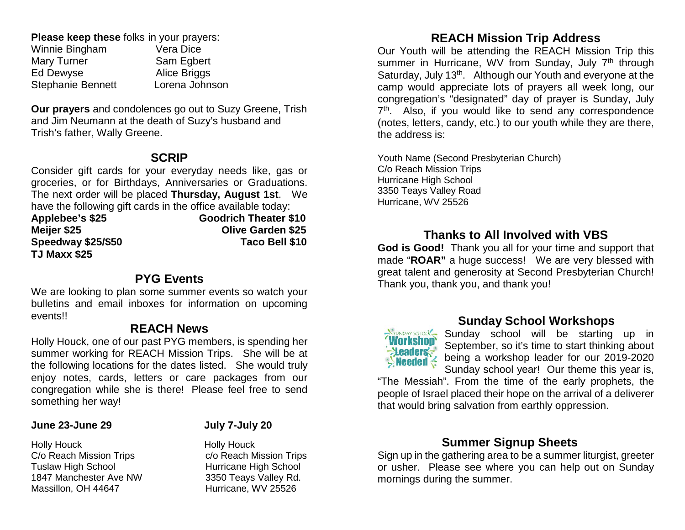**Please keep these** folks in your prayers:<br>Winnie Bingham<br>Vera Dice Winnie Bingham Mary Turner Sam Egbert Ed Dewyse Alice Briggs Stephanie Bennett Lorena Johnson

**Our prayers** and condolences go out to Suzy Greene, Trish and Jim Neumann at the death of Suzy's husband and Trish's father, Wally Greene.

#### **SCRIP**

Consider gift cards for your everyday needs like, gas or groceries, or for Birthdays, Anniversaries or Graduations. The next order will be placed **Thursday, August 1st**. We have the following gift cards in the office available today:

| Applebee's \$25           | <b>Goodrich Theater \$10</b> |
|---------------------------|------------------------------|
| Meijer \$25               | <b>Olive Garden \$25</b>     |
| <b>Speedway \$25/\$50</b> | Taco Bell \$10               |
| TJ Maxx \$25              |                              |

#### **PYG Events**

We are looking to plan some summer events so watch your bulletins and email inboxes for information on upcoming events!!

#### **REACH News**

Holly Houck, one of our past PYG members, is spending her summer working for REACH Mission Trips. She will be at the following locations for the dates listed. She would truly enjoy notes, cards, letters or care packages from our congregation while she is there! Please feel free to send something her way!

#### **June 23-June 29 July 7-July 20**

Holly Houck<br>C/o Reach Mission Trips<br>C/o Reach Mission Trips<br>C/o Reach Mission Trips C/o Reach Mission Trips<br>Tuslaw High School 1847 Manchester Ave NW 3350 Teays Valley Rd. Massillon, OH 44647 Hurricane, WV 25526

Hurricane High School

# **REACH Mission Trip Address**

Our Youth will be attending the REACH Mission Trip this summer in Hurricane, WV from Sunday, July 7<sup>th</sup> through Saturday, July 13<sup>th</sup>. Although our Youth and everyone at the camp would appreciate lots of prayers all week long, our congregation's "designated" day of prayer is Sunday, July 7<sup>th</sup>. Also, if you would like to send any correspondence (notes, letters, candy, etc.) to our youth while they are there, the address is:

Youth Name (Second Presbyterian Church) C/o Reach Mission Trips Hurricane High School 3350 Teays Valley Road Hurricane, WV 25526

### **Thanks to All Involved with VBS**

**God is Good!** Thank you all for your time and support that made "**ROAR"** a huge success! We are very blessed with great talent and generosity at Second Presbyterian Church! Thank you, thank you, and thank you!



#### **Sunday School Workshops**

**Sunday Sunday school will be starting up in**<br> **Workshop** September, so it's time to start thinking about September, so it's time to start thinking about being a workshop leader for our 2019-2020 Sunday school year! Our theme this year is,

"The Messiah". From the time of the early prophets, the people of Israel placed their hope on the arrival of a deliverer that would bring salvation from earthly oppression.

#### **Summer Signup Sheets**

Sign up in the gathering area to be a summer liturgist, greeter or usher. Please see where you can help out on Sunday mornings during the summer.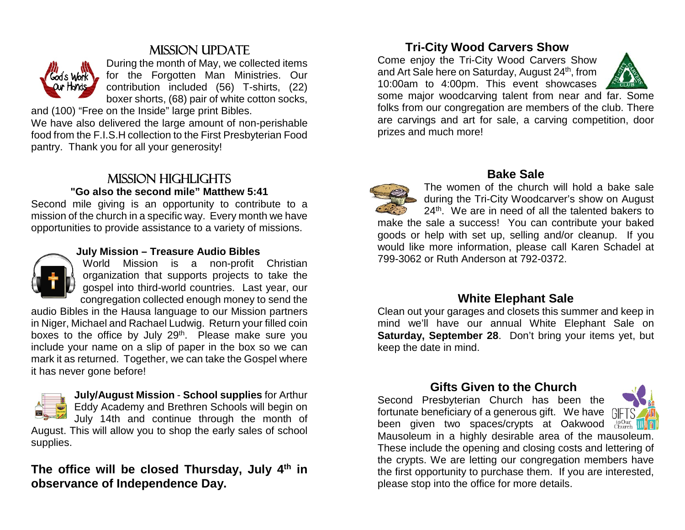# Mission Update



During the month of May, we collected items for the Forgotten Man Ministries. Our contribution included (56) T-shirts, (22) boxer shorts, (68) pair of white cotton socks,

and (100) "Free on the Inside" large print Bibles.

We have also delivered the large amount of non-perishable food from the F.I.S.H collection to the First Presbyterian Food pantry. Thank you for all your generosity!

### Mission highlights **"Go also the second mile" Matthew 5:41**

Second mile giving is an opportunity to contribute to a mission of the church in a specific way. Every month we have opportunities to provide assistance to a variety of missions.



#### **July Mission – Treasure Audio Bibles**

World Mission is a non-profit Christian organization that supports projects to take the gospel into third-world countries. Last year, our congregation collected enough money to send the

audio Bibles in the Hausa language to our Mission partners in Niger, Michael and Rachael Ludwig. Return your filled coin boxes to the office by July 29<sup>th</sup>. Please make sure you include your name on a slip of paper in the box so we can mark it as returned. Together, we can take the Gospel where it has never gone before!



**July/August Mission** - **School supplies** for Arthur Eddy Academy and Brethren Schools will begin on July 14th and continue through the month of August. This will allow you to shop the early sales of school supplies.

# The office will be closed Thursday, July 4<sup>th</sup> in **observance of Independence Day.**

# **Tri-City Wood Carvers Show**

Come enjoy the Tri-City Wood Carvers Show and Art Sale here on Saturday, August 24<sup>th</sup>, from 10:00am to 4:00pm. This event showcases



some major woodcarving talent from near and far. Some folks from our congregation are members of the club. There are carvings and art for sale, a carving competition, door prizes and much more!



# **Bake Sale**

The women of the church will hold a bake sale during the Tri-City Woodcarver's show on August 24<sup>th</sup>. We are in need of all the talented bakers to make the sale a success! You can contribute your baked goods or help with set up, selling and/or cleanup. If you would like more information, please call Karen Schadel at 799-3062 or Ruth Anderson at 792-0372.

#### **White Elephant Sale**

Clean out your garages and closets this summer and keep in mind we'll have our annual White Elephant Sale on **Saturday, September 28**. Don't bring your items yet, but keep the date in mind.

# **Gifts Given to the Church**

Second Presbyterian Church has been the fortunate beneficiary of a generous gift. We have been given two spaces/crypts at Oakwood Church



Mausoleum in a highly desirable area of the mausoleum. These include the opening and closing costs and lettering of the crypts. We are letting our congregation members have the first opportunity to purchase them. If you are interested, please stop into the office for more details.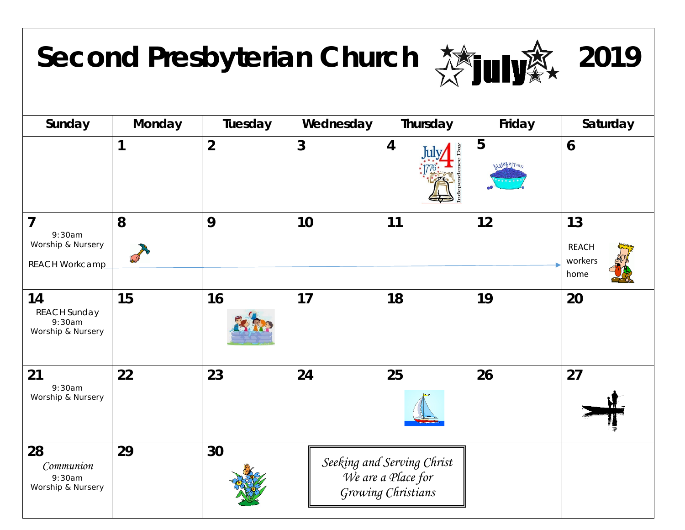# Second Presbyterian Church **赞加嗓** 2019





| Sunday                                                                 | Monday | Tuesday        | Wednesday | Thursday                                                               | Friday                   | Saturday                              |
|------------------------------------------------------------------------|--------|----------------|-----------|------------------------------------------------------------------------|--------------------------|---------------------------------------|
|                                                                        | 1      | $\overline{2}$ | 3         | $\overline{4}$                                                         | 5<br><b>WILDEPETTIES</b> | 6                                     |
| $\overline{7}$<br>9:30am<br>Worship & Nursery<br><b>REACH Workcamp</b> | 8      | 9              | 10        | 11                                                                     | 12                       | 13<br><b>REACH</b><br>workers<br>home |
| 14<br><b>REACH Sunday</b><br>9:30am<br>Worship & Nursery               | 15     | 16             | 17        | 18                                                                     | 19                       | 20                                    |
| 21<br>9:30am<br>Worship & Nursery                                      | 22     | 23             | 24        | 25                                                                     | 26                       | 27                                    |
| 28<br>Communion<br>9:30am<br>Worship & Nursery                         | 29     | 30             |           | Seeking and Serving Christ<br>We are a Place for<br>Growing Christians |                          |                                       |